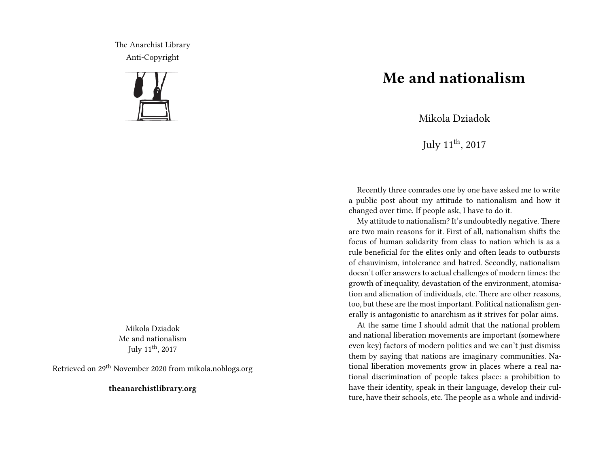The Anarchist Library Anti-Copyright



Mikola Dziadok Me and nationalism July  $11^{\text{th}}$ , 2017

Retrieved on 29th November 2020 from mikola.noblogs.org

**theanarchistlibrary.org**

## **Me and nationalism**

Mikola Dziadok

July  $11^{\text{th}}$ , 2017

Recently three comrades one by one have asked me to write a public post about my attitude to nationalism and how it changed over time. If people ask, I have to do it.

My attitude to nationalism? It's undoubtedly negative. There are two main reasons for it. First of all, nationalism shifts the focus of human solidarity from class to nation which is as a rule beneficial for the elites only and often leads to outbursts of chauvinism, intolerance and hatred. Secondly, nationalism doesn't offer answers to actual challenges of modern times: the growth of inequality, devastation of the environment, atomisation and alienation of individuals, etc. There are other reasons, too, but these are the most important. Political nationalism generally is antagonistic to anarchism as it strives for polar aims.

At the same time I should admit that the national problem and national liberation movements are important (somewhere even key) factors of modern politics and we can't just dismiss them by saying that nations are imaginary communities. National liberation movements grow in places where a real national discrimination of people takes place: a prohibition to have their identity, speak in their language, develop their culture, have their schools, etc. The people as a whole and individ